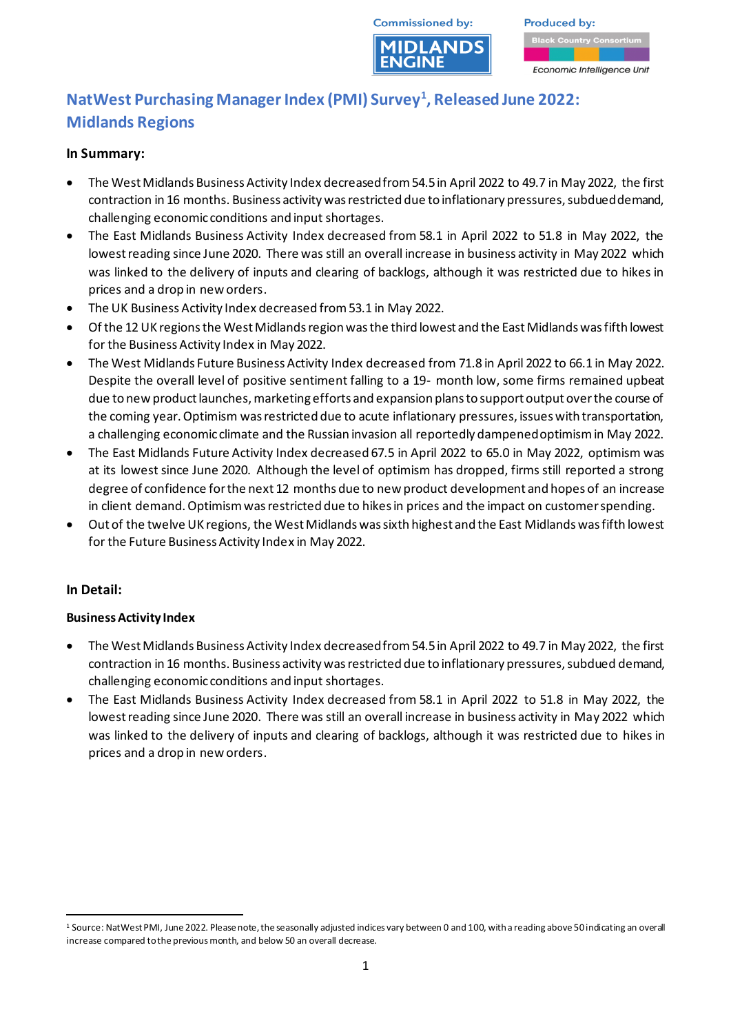

**Produced by:** Economic Intelligence Unit

# **NatWest Purchasing Manager Index (PMI) Survey<sup>1</sup> , Released June 2022: Midlands Regions**

## **In Summary:**

- The West Midlands Business Activity Index decreased from 54.5 in April 2022 to 49.7 in May 2022, the first contraction in 16 months. Business activity was restricted due to inflationary pressures, subdued demand, challenging economic conditions and input shortages.
- The East Midlands Business Activity Index decreased from 58.1 in April 2022 to 51.8 in May 2022, the lowest reading since June 2020. There was still an overall increase in business activity in May 2022 which was linked to the delivery of inputs and clearing of backlogs, although it was restricted due to hikes in prices and a drop in new orders.
- The UK Business Activity Index decreased from 53.1 in May 2022.
- Of the 12 UK regions the West Midlands region was the third lowest and the East Midlands was fifth lowest for the Business Activity Index in May 2022.
- The West Midlands Future Business Activity Index decreased from 71.8 in April 2022 to 66.1 in May 2022. Despite the overall level of positive sentiment falling to a 19- month low, some firms remained upbeat due to new product launches, marketing efforts and expansion plans to support output over the course of the coming year. Optimism was restricted due to acute inflationary pressures, issues with transportation, a challenging economic climate and the Russian invasion all reportedly dampened optimism in May 2022.
- The East Midlands Future Activity Index decreased 67.5 in April 2022 to 65.0 in May 2022, optimism was at its lowest since June 2020. Although the level of optimism has dropped, firms still reported a strong degree of confidence for the next 12 months due to new product development and hopes of an increase in client demand. Optimism was restricted due to hikes in prices and the impact on customer spending.
- Out of the twelve UK regions, the West Midlands was sixth highest and the East Midlands was fifth lowest for the Future Business Activity Index in May 2022.

# **In Detail:**

#### **Business Activity Index**

- The West Midlands Business Activity Index decreased from 54.5 in April 2022 to 49.7 in May 2022, the first contraction in 16 months. Business activity was restricted due to inflationary pressures, subdued demand, challenging economic conditions and input shortages.
- The East Midlands Business Activity Index decreased from 58.1 in April 2022 to 51.8 in May 2022, the lowest reading since June 2020. There was still an overall increase in business activity in May 2022 which was linked to the delivery of inputs and clearing of backlogs, although it was restricted due to hikes in prices and a drop in new orders.

<sup>1</sup> Source: NatWest PMI, June 2022. Please note, the seasonally adjusted indices vary between 0 and 100, with a reading above 50 indicating an overall increase compared to the previous month, and below 50 an overall decrease.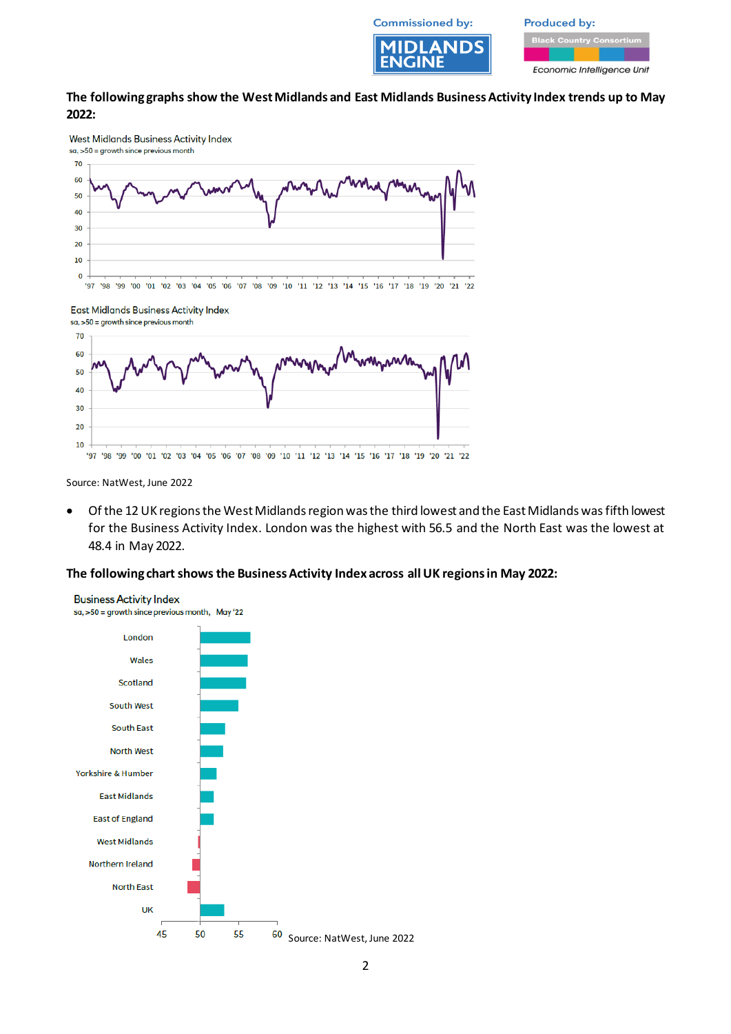

**Produced by:** 

Economic Intelligence Unit

#### **The following graphs show the West Midlands and East Midlands Business Activity Index trends up to May 2022:**







Source: NatWest, June 2022

• Of the 12 UK regions the West Midlands region was the third lowest and the East Midlands was fifth lowest for the Business Activity Index. London was the highest with 56.5 and the North East was the lowest at 48.4 in May 2022.

#### **The following chart shows the Business Activity Index across all UK regions in May 2022:**

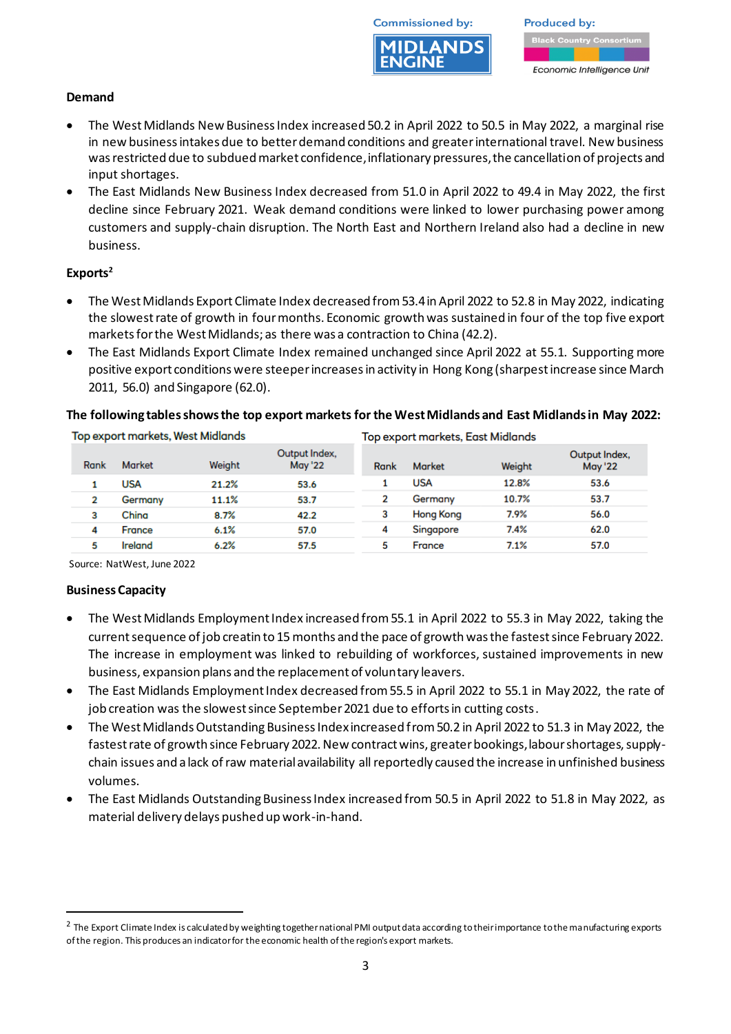

**Produced by:** Economic Intelligence Unit

## **Demand**

- The West Midlands New Business Index increased 50.2 in April 2022 to 50.5 in May 2022, a marginal rise in new business intakes due to better demand conditions and greater international travel. New business was restricted due to subdued market confidence, inflationary pressures, the cancellation of projects and input shortages.
- The East Midlands New Business Index decreased from 51.0 in April 2022 to 49.4 in May 2022, the first decline since February 2021. Weak demand conditions were linked to lower purchasing power among customers and supply-chain disruption. The North East and Northern Ireland also had a decline in new business.

#### **Exports<sup>2</sup>**

- The West Midlands Export Climate Index decreased from 53.4 in April 2022 to 52.8 in May 2022, indicating the slowest rate of growth in four months. Economic growth was sustained in four of the top five export markets for the West Midlands; as there was a contraction to China (42.2).
- The East Midlands Export Climate Index remained unchanged since April 2022 at 55.1. Supporting more positive export conditions were steeper increases in activity in Hong Kong (sharpest increase since March 2011, 56.0) and Singapore (62.0).

#### **The following tables shows the top export markets for the West Midlands and East Midlands in May 2022:**

| Top export markets, West Midlands |               |        |                                 | Top export markets, East Midlands |                  |        |                                 |
|-----------------------------------|---------------|--------|---------------------------------|-----------------------------------|------------------|--------|---------------------------------|
| Rank                              | <b>Market</b> | Weight | Output Index.<br><b>May '22</b> | Rank                              | <b>Market</b>    | Weight | Output Index.<br><b>May '22</b> |
|                                   | <b>USA</b>    | 21.2%  | 53.6                            |                                   | USA              | 12.8%  | 53.6                            |
| 2                                 | Germany       | 11.1%  | 53.7                            |                                   | Germany          | 10.7%  | 53.7                            |
| 3                                 | China         | 8.7%   | 42.2                            |                                   | <b>Hong Kong</b> | 7.9%   | 56.0                            |
| 4                                 | France        | 6.1%   | 57.0                            | 4                                 | Singapore        | 7.4%   | 62.0                            |
| 5                                 | Ireland       | 6.2%   | 57.5                            | 5                                 | France           | 7.1%   | 57.0                            |

Source: NatWest, June 2022

# **Business Capacity**

- The West Midlands Employment Index increased from 55.1 in April 2022 to 55.3 in May 2022, taking the current sequence of job creatin to 15 months and the pace of growth was the fastest since February 2022. The increase in employment was linked to rebuilding of workforces, sustained improvements in new business, expansion plans and the replacement of voluntary leavers.
- The East Midlands Employment Index decreased from 55.5 in April 2022 to 55.1 in May 2022, the rate of job creation was the slowest since September 2021 due to efforts in cutting costs.
- The West Midlands Outstanding Business Index increased from 50.2 in April 2022 to 51.3 in May 2022, the fastest rate of growth since February 2022. New contract wins, greater bookings, labour shortages, supplychain issues and a lack of raw material availability all reportedly caused the increase in unfinished business volumes.
- The East Midlands Outstanding Business Index increased from 50.5 in April 2022 to 51.8 in May 2022, as material delivery delays pushed up work-in-hand.

<sup>&</sup>lt;sup>2</sup> The Export Climate Index is calculated by weighting together national PMI output data according to their importance to the manufacturing exports of the region. This produces an indicator for the economic health of the region's export markets.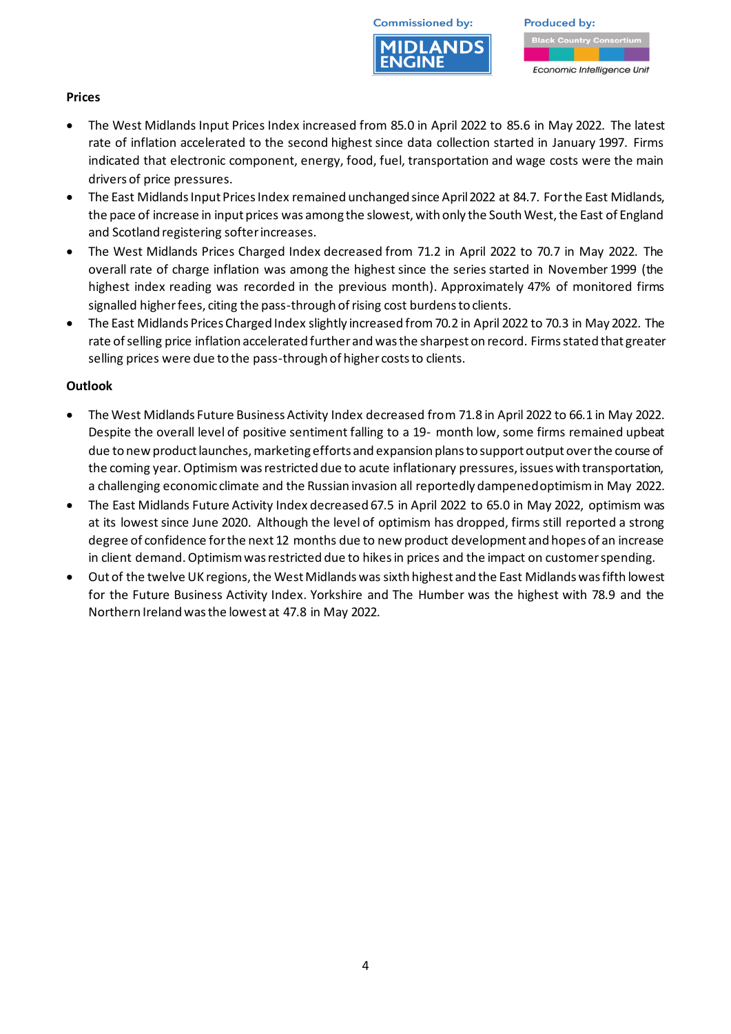



## **Prices**

- The West Midlands Input Prices Index increased from 85.0 in April 2022 to 85.6 in May 2022. The latest rate of inflation accelerated to the second highest since data collection started in January 1997. Firms indicated that electronic component, energy, food, fuel, transportation and wage costs were the main drivers of price pressures.
- The East Midlands Input Prices Index remained unchanged since April 2022 at 84.7. For the East Midlands, the pace of increase in input prices was among the slowest, with only the South West, the East of England and Scotland registering softer increases.
- The West Midlands Prices Charged Index decreased from 71.2 in April 2022 to 70.7 in May 2022. The overall rate of charge inflation was among the highest since the series started in November 1999 (the highest index reading was recorded in the previous month). Approximately 47% of monitored firms signalled higher fees, citing the pass-through of rising cost burdens to clients.
- The East Midlands Prices Charged Index slightly increased from 70.2 in April 2022 to 70.3 in May 2022. The rate of selling price inflation accelerated further and was the sharpest on record. Firms stated that greater selling prices were due to the pass-through of higher costs to clients.

#### **Outlook**

- The West Midlands Future Business Activity Index decreased from 71.8 in April 2022 to 66.1 in May 2022. Despite the overall level of positive sentiment falling to a 19- month low, some firms remained upbeat due to new product launches, marketing efforts and expansion plans to support output over the course of the coming year.Optimism was restricted due to acute inflationary pressures, issues with transportation, a challenging economic climate and the Russian invasion all reportedly dampened optimism in May 2022.
- The East Midlands Future Activity Index decreased 67.5 in April 2022 to 65.0 in May 2022, optimism was at its lowest since June 2020. Although the level of optimism has dropped, firms still reported a strong degree of confidence for the next 12 months due to new product development and hopes of an increase in client demand. Optimism was restricted due to hikes in prices and the impact on customer spending.
- Out of the twelve UK regions, the West Midlands was sixth highest and the East Midlands was fifth lowest for the Future Business Activity Index. Yorkshire and The Humber was the highest with 78.9 and the Northern Ireland was the lowest at 47.8 in May 2022.